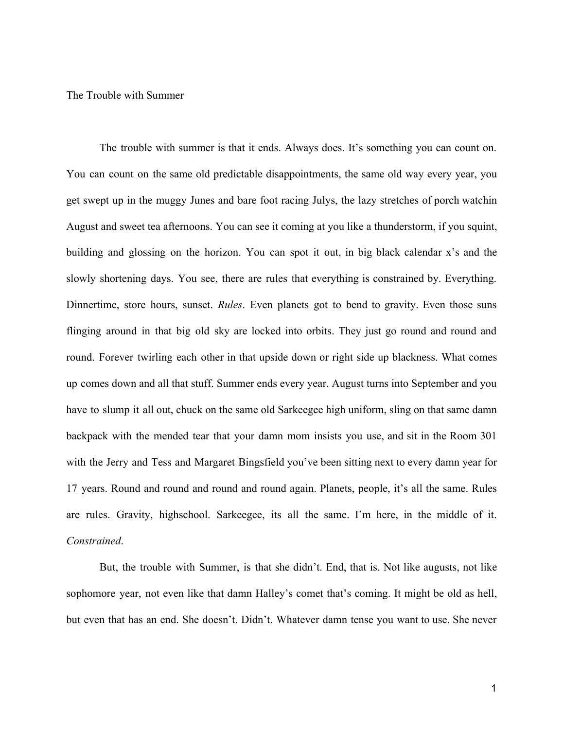The Trouble with Summer

The trouble with summer is that it ends. Always does. It's something you can count on. You can count on the same old predictable disappointments, the same old way every year, you get swept up in the muggy Junes and bare foot racing Julys, the lazy stretches of porch watchin August and sweet tea afternoons. You can see it coming at you like a thunderstorm, if you squint, building and glossing on the horizon. You can spot it out, in big black calendar x's and the slowly shortening days. You see, there are rules that everything is constrained by. Everything. Dinnertime, store hours, sunset. *Rules*. Even planets got to bend to gravity. Even those suns flinging around in that big old sky are locked into orbits. They just go round and round and round. Forever twirling each other in that upside down or right side up blackness. What comes up comes down and all that stuff. Summer ends every year. August turns into September and you have to slump it all out, chuck on the same old Sarkeegee high uniform, sling on that same damn backpack with the mended tear that your damn mom insists you use, and sit in the Room 301 with the Jerry and Tess and Margaret Bingsfield you've been sitting next to every damn year for 17 years. Round and round and round and round again. Planets, people, it's all the same. Rules are rules. Gravity, highschool. Sarkeegee, its all the same. I'm here, in the middle of it. *Constrained*.

But, the trouble with Summer, is that she didn't. End, that is. Not like augusts, not like sophomore year, not even like that damn Halley's comet that's coming. It might be old as hell, but even that has an end. She doesn't. Didn't. Whatever damn tense you want to use. She never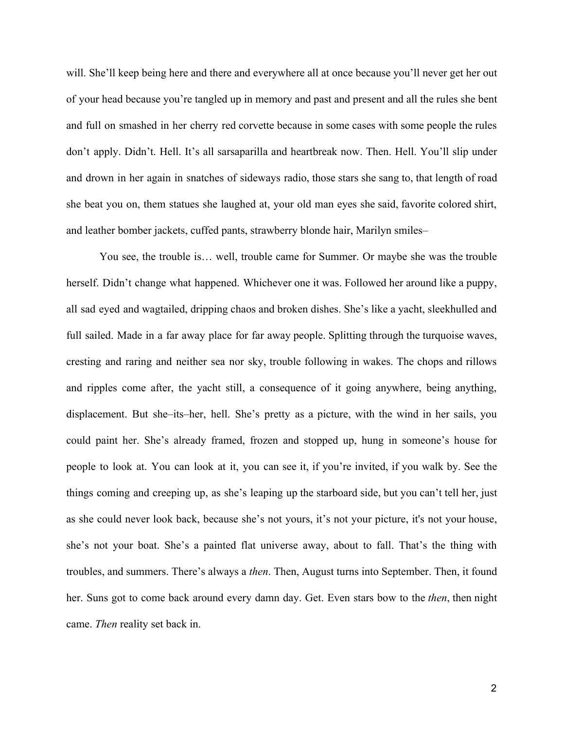will. She'll keep being here and there and everywhere all at once because you'll never get her out of your head because you're tangled up in memory and past and present and all the rules she bent and full on smashed in her cherry red corvette because in some cases with some people the rules don't apply. Didn't. Hell. It's all sarsaparilla and heartbreak now. Then. Hell. You'll slip under and drown in her again in snatches of sideways radio, those stars she sang to, that length of road she beat you on, them statues she laughed at, your old man eyes she said, favorite colored shirt, and leather bomber jackets, cuffed pants, strawberry blonde hair, Marilyn smiles–

You see, the trouble is… well, trouble came for Summer. Or maybe she was the trouble herself. Didn't change what happened. Whichever one it was. Followed her around like a puppy, all sad eyed and wagtailed, dripping chaos and broken dishes. She's like a yacht, sleekhulled and full sailed. Made in a far away place for far away people. Splitting through the turquoise waves, cresting and raring and neither sea nor sky, trouble following in wakes. The chops and rillows and ripples come after, the yacht still, a consequence of it going anywhere, being anything, displacement. But she–its–her, hell. She's pretty as a picture, with the wind in her sails, you could paint her. She's already framed, frozen and stopped up, hung in someone's house for people to look at. You can look at it, you can see it, if you're invited, if you walk by. See the things coming and creeping up, as she's leaping up the starboard side, but you can't tell her, just as she could never look back, because she's not yours, it's not your picture, it's not your house, she's not your boat. She's a painted flat universe away, about to fall. That's the thing with troubles, and summers. There's always a *then*. Then, August turns into September. Then, it found her. Suns got to come back around every damn day. Get. Even stars bow to the *then*, then night came. *Then* reality set back in.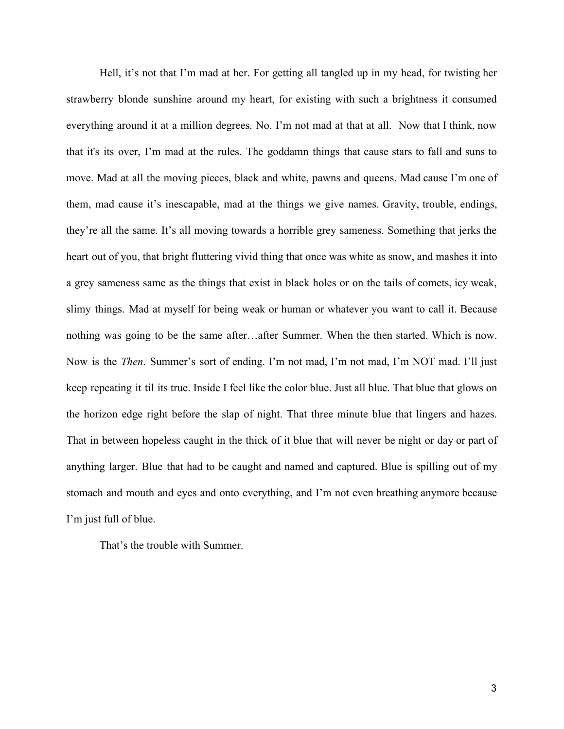Hell, it's not that I'm mad at her. For getting all tangled up in my head, for twisting her strawberry blonde sunshine around my heart, for existing with such a brightness it consumed everything around it at a million degrees. No. I'm not mad at that at all. Now that I think, now that it's its over, I'm mad at the rules. The goddamn things that cause stars to fall and suns to move. Mad at all the moving pieces, black and white, pawns and queens. Mad cause I'm one of them, mad cause it's inescapable, mad at the things we give names. Gravity, trouble, endings, they're all the same. It's all moving towards a horrible grey sameness. Something that jerks the heart out of you, that bright fluttering vivid thing that once was white as snow, and mashes it into a grey sameness same as the things that exist in black holes or on the tails of comets, icy weak, slimy things. Mad at myself for being weak or human or whatever you want to call it. Because nothing was going to be the same after…after Summer. When the then started. Which is now. Now is the *Then*. Summer's sort of ending. I'm not mad, I'm not mad, I'm NOT mad. I'll just keep repeating it til its true. Inside I feel like the color blue. Just all blue. That blue that glows on the horizon edge right before the slap of night. That three minute blue that lingers and hazes. That in between hopeless caught in the thick of it blue that will never be night or day or part of anything larger. Blue that had to be caught and named and captured. Blue is spilling out of my stomach and mouth and eyes and onto everything, and I'm not even breathing anymore because I'm just full of blue.

That's the trouble with Summer.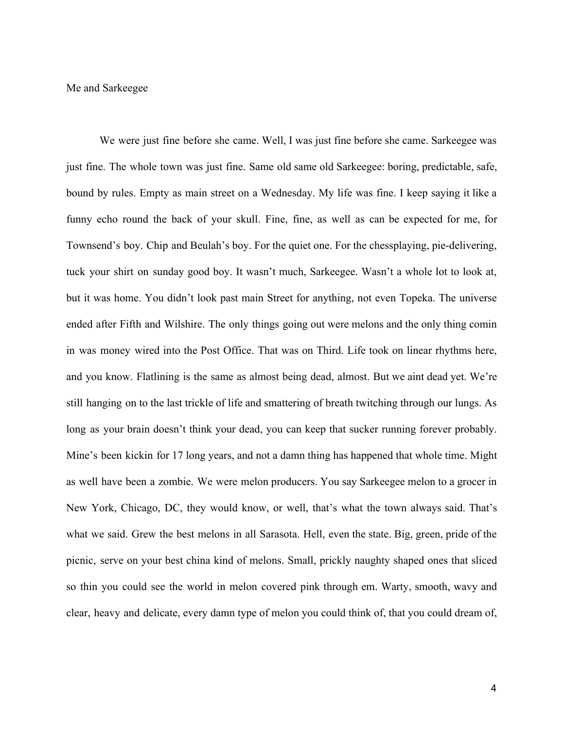Me and Sarkeegee

We were just fine before she came. Well, I was just fine before she came. Sarkeegee was just fine. The whole town was just fine. Same old same old Sarkeegee: boring, predictable, safe, bound by rules. Empty as main street on a Wednesday. My life was fine. I keep saying it like a funny echo round the back of your skull. Fine, fine, as well as can be expected for me, for Townsend's boy. Chip and Beulah's boy. For the quiet one. For the chessplaying, pie-delivering, tuck your shirt on sunday good boy. It wasn't much, Sarkeegee. Wasn't a whole lot to look at, but it was home. You didn't look past main Street for anything, not even Topeka. The universe ended after Fifth and Wilshire. The only things going out were melons and the only thing comin in was money wired into the Post Office. That was on Third. Life took on linear rhythms here, and you know. Flatlining is the same as almost being dead, almost. But we aint dead yet. We're still hanging on to the last trickle of life and smattering of breath twitching through our lungs. As long as your brain doesn't think your dead, you can keep that sucker running forever probably. Mine's been kickin for 17 long years, and not a damn thing has happened that whole time. Might as well have been a zombie. We were melon producers. You say Sarkeegee melon to a grocer in New York, Chicago, DC, they would know, or well, that's what the town always said. That's what we said. Grew the best melons in all Sarasota. Hell, even the state. Big, green, pride of the picnic, serve on your best china kind of melons. Small, prickly naughty shaped ones that sliced so thin you could see the world in melon covered pink through em. Warty, smooth, wavy and clear, heavy and delicate, every damn type of melon you could think of, that you could dream of,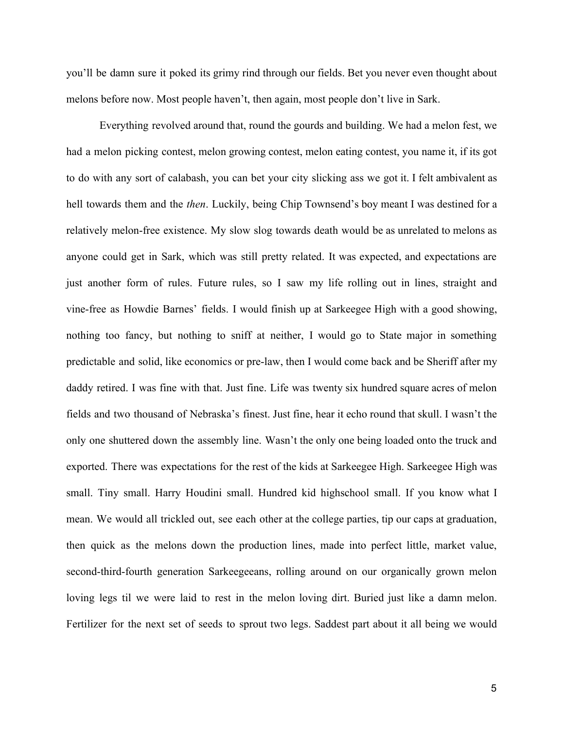you'll be damn sure it poked its grimy rind through our fields. Bet you never even thought about melons before now. Most people haven't, then again, most people don't live in Sark.

Everything revolved around that, round the gourds and building. We had a melon fest, we had a melon picking contest, melon growing contest, melon eating contest, you name it, if its got to do with any sort of calabash, you can bet your city slicking ass we got it. I felt ambivalent as hell towards them and the *then*. Luckily, being Chip Townsend's boy meant I was destined for a relatively melon-free existence. My slow slog towards death would be as unrelated to melons as anyone could get in Sark, which was still pretty related. It was expected, and expectations are just another form of rules. Future rules, so I saw my life rolling out in lines, straight and vine-free as Howdie Barnes' fields. I would finish up at Sarkeegee High with a good showing, nothing too fancy, but nothing to sniff at neither, I would go to State major in something predictable and solid, like economics or pre-law, then I would come back and be Sheriff after my daddy retired. I was fine with that. Just fine. Life was twenty six hundred square acres of melon fields and two thousand of Nebraska's finest. Just fine, hear it echo round that skull. I wasn't the only one shuttered down the assembly line. Wasn't the only one being loaded onto the truck and exported. There was expectations for the rest of the kids at Sarkeegee High. Sarkeegee High was small. Tiny small. Harry Houdini small. Hundred kid highschool small. If you know what I mean. We would all trickled out, see each other at the college parties, tip our caps at graduation, then quick as the melons down the production lines, made into perfect little, market value, second-third-fourth generation Sarkeegeeans, rolling around on our organically grown melon loving legs til we were laid to rest in the melon loving dirt. Buried just like a damn melon. Fertilizer for the next set of seeds to sprout two legs. Saddest part about it all being we would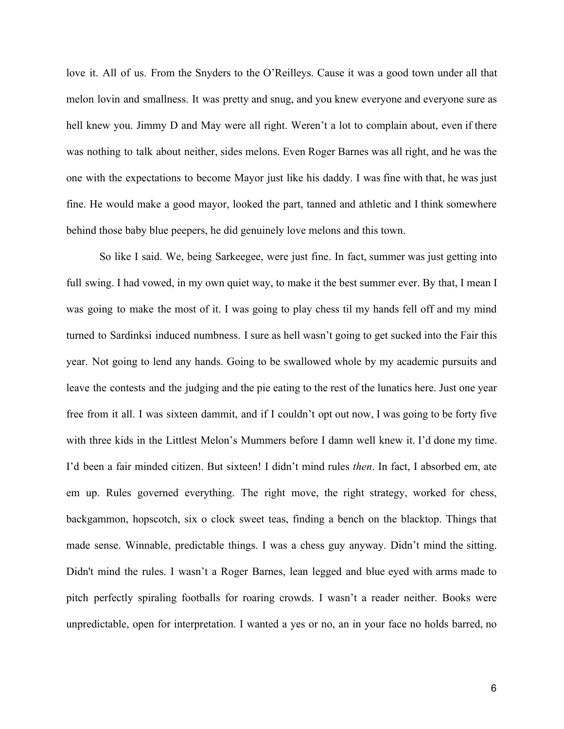love it. All of us. From the Snyders to the O'Reilleys. Cause it was a good town under all that melon lovin and smallness. It was pretty and snug, and you knew everyone and everyone sure as hell knew you. Jimmy D and May were all right. Weren't a lot to complain about, even if there was nothing to talk about neither, sides melons. Even Roger Barnes was all right, and he was the one with the expectations to become Mayor just like his daddy. I was fine with that, he was just fine. He would make a good mayor, looked the part, tanned and athletic and I think somewhere behind those baby blue peepers, he did genuinely love melons and this town.

So like I said. We, being Sarkeegee, were just fine. In fact, summer was just getting into full swing. I had vowed, in my own quiet way, to make it the best summer ever. By that, I mean I was going to make the most of it. I was going to play chess til my hands fell off and my mind turned to Sardinksi induced numbness. I sure as hell wasn't going to get sucked into the Fair this year. Not going to lend any hands. Going to be swallowed whole by my academic pursuits and leave the contests and the judging and the pie eating to the rest of the lunatics here. Just one year free from it all. I was sixteen dammit, and if I couldn't opt out now, I was going to be forty five with three kids in the Littlest Melon's Mummers before I damn well knew it. I'd done my time. I'd been a fair minded citizen. But sixteen! I didn't mind rules *then*. In fact, I absorbed em, ate em up. Rules governed everything. The right move, the right strategy, worked for chess, backgammon, hopscotch, six o clock sweet teas, finding a bench on the blacktop. Things that made sense. Winnable, predictable things. I was a chess guy anyway. Didn't mind the sitting. Didn't mind the rules. I wasn't a Roger Barnes, lean legged and blue eyed with arms made to pitch perfectly spiraling footballs for roaring crowds. I wasn't a reader neither. Books were unpredictable, open for interpretation. I wanted a yes or no, an in your face no holds barred, no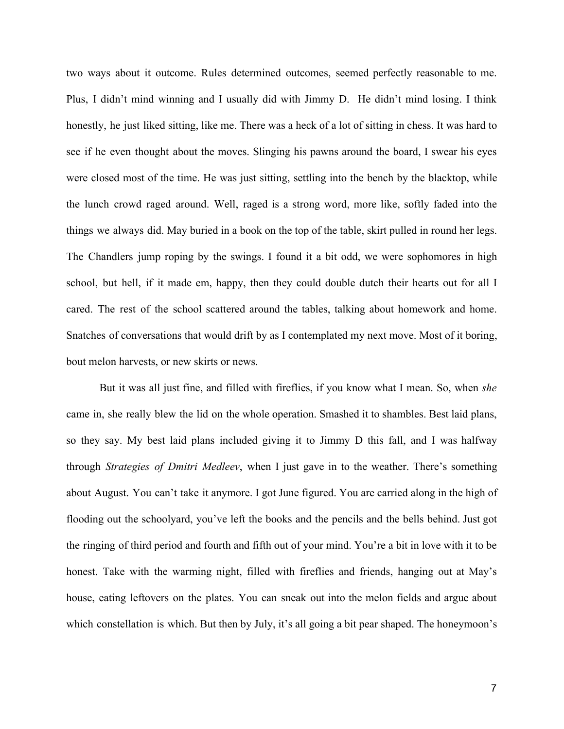two ways about it outcome. Rules determined outcomes, seemed perfectly reasonable to me. Plus, I didn't mind winning and I usually did with Jimmy D. He didn't mind losing. I think honestly, he just liked sitting, like me. There was a heck of a lot of sitting in chess. It was hard to see if he even thought about the moves. Slinging his pawns around the board, I swear his eyes were closed most of the time. He was just sitting, settling into the bench by the blacktop, while the lunch crowd raged around. Well, raged is a strong word, more like, softly faded into the things we always did. May buried in a book on the top of the table, skirt pulled in round her legs. The Chandlers jump roping by the swings. I found it a bit odd, we were sophomores in high school, but hell, if it made em, happy, then they could double dutch their hearts out for all I cared. The rest of the school scattered around the tables, talking about homework and home. Snatches of conversations that would drift by as I contemplated my next move. Most of it boring, bout melon harvests, or new skirts or news.

But it was all just fine, and filled with fireflies, if you know what I mean. So, when *she* came in, she really blew the lid on the whole operation. Smashed it to shambles. Best laid plans, so they say. My best laid plans included giving it to Jimmy D this fall, and I was halfway through *Strategies of Dmitri Medleev*, when I just gave in to the weather. There's something about August. You can't take it anymore. I got June figured. You are carried along in the high of flooding out the schoolyard, you've left the books and the pencils and the bells behind. Just got the ringing of third period and fourth and fifth out of your mind. You're a bit in love with it to be honest. Take with the warming night, filled with fireflies and friends, hanging out at May's house, eating leftovers on the plates. You can sneak out into the melon fields and argue about which constellation is which. But then by July, it's all going a bit pear shaped. The honeymoon's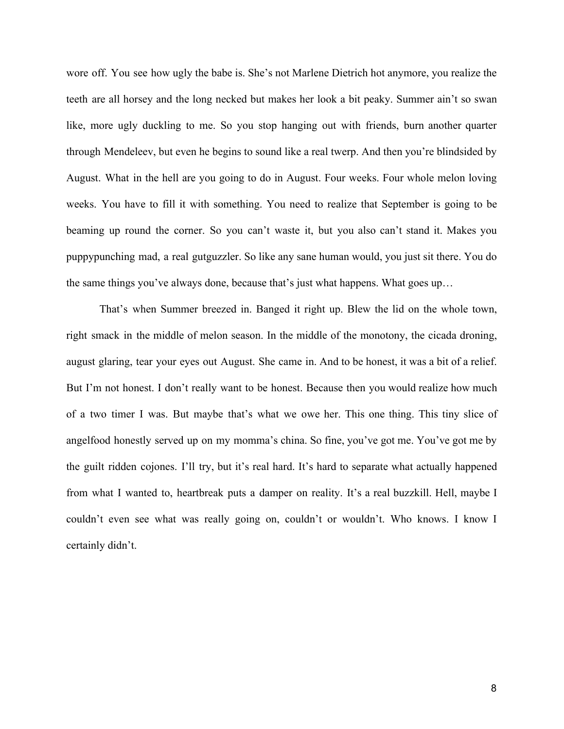wore off. You see how ugly the babe is. She's not Marlene Dietrich hot anymore, you realize the teeth are all horsey and the long necked but makes her look a bit peaky. Summer ain't so swan like, more ugly duckling to me. So you stop hanging out with friends, burn another quarter through Mendeleev, but even he begins to sound like a real twerp. And then you're blindsided by August. What in the hell are you going to do in August. Four weeks. Four whole melon loving weeks. You have to fill it with something. You need to realize that September is going to be beaming up round the corner. So you can't waste it, but you also can't stand it. Makes you puppypunching mad, a real gutguzzler. So like any sane human would, you just sit there. You do the same things you've always done, because that's just what happens. What goes up…

That's when Summer breezed in. Banged it right up. Blew the lid on the whole town, right smack in the middle of melon season. In the middle of the monotony, the cicada droning, august glaring, tear your eyes out August. She came in. And to be honest, it was a bit of a relief. But I'm not honest. I don't really want to be honest. Because then you would realize how much of a two timer I was. But maybe that's what we owe her. This one thing. This tiny slice of angelfood honestly served up on my momma's china. So fine, you've got me. You've got me by the guilt ridden cojones. I'll try, but it's real hard. It's hard to separate what actually happened from what I wanted to, heartbreak puts a damper on reality. It's a real buzzkill. Hell, maybe I couldn't even see what was really going on, couldn't or wouldn't. Who knows. I know I certainly didn't.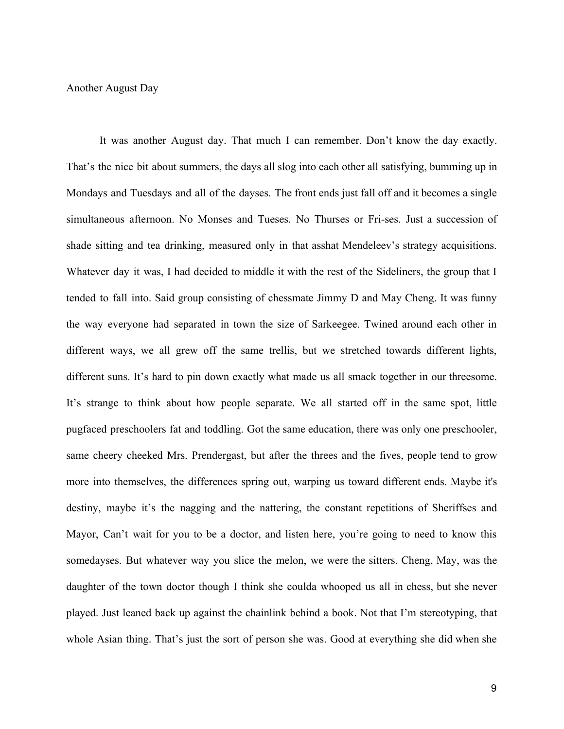## Another August Day

It was another August day. That much I can remember. Don't know the day exactly. That's the nice bit about summers, the days all slog into each other all satisfying, bumming up in Mondays and Tuesdays and all of the dayses. The front ends just fall off and it becomes a single simultaneous afternoon. No Monses and Tueses. No Thurses or Fri-ses. Just a succession of shade sitting and tea drinking, measured only in that asshat Mendeleev's strategy acquisitions. Whatever day it was, I had decided to middle it with the rest of the Sideliners, the group that I tended to fall into. Said group consisting of chessmate Jimmy D and May Cheng. It was funny the way everyone had separated in town the size of Sarkeegee. Twined around each other in different ways, we all grew off the same trellis, but we stretched towards different lights, different suns. It's hard to pin down exactly what made us all smack together in our threesome. It's strange to think about how people separate. We all started off in the same spot, little pugfaced preschoolers fat and toddling. Got the same education, there was only one preschooler, same cheery cheeked Mrs. Prendergast, but after the threes and the fives, people tend to grow more into themselves, the differences spring out, warping us toward different ends. Maybe it's destiny, maybe it's the nagging and the nattering, the constant repetitions of Sheriffses and Mayor, Can't wait for you to be a doctor, and listen here, you're going to need to know this somedayses. But whatever way you slice the melon, we were the sitters. Cheng, May, was the daughter of the town doctor though I think she coulda whooped us all in chess, but she never played. Just leaned back up against the chainlink behind a book. Not that I'm stereotyping, that whole Asian thing. That's just the sort of person she was. Good at everything she did when she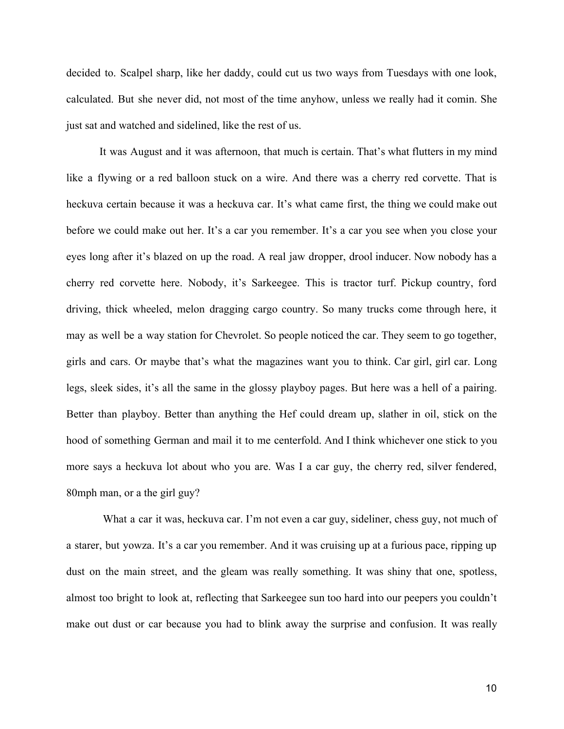decided to. Scalpel sharp, like her daddy, could cut us two ways from Tuesdays with one look, calculated. But she never did, not most of the time anyhow, unless we really had it comin. She just sat and watched and sidelined, like the rest of us.

It was August and it was afternoon, that much is certain. That's what flutters in my mind like a flywing or a red balloon stuck on a wire. And there was a cherry red corvette. That is heckuva certain because it was a heckuva car. It's what came first, the thing we could make out before we could make out her. It's a car you remember. It's a car you see when you close your eyes long after it's blazed on up the road. A real jaw dropper, drool inducer. Now nobody has a cherry red corvette here. Nobody, it's Sarkeegee. This is tractor turf. Pickup country, ford driving, thick wheeled, melon dragging cargo country. So many trucks come through here, it may as well be a way station for Chevrolet. So people noticed the car. They seem to go together, girls and cars. Or maybe that's what the magazines want you to think. Car girl, girl car. Long legs, sleek sides, it's all the same in the glossy playboy pages. But here was a hell of a pairing. Better than playboy. Better than anything the Hef could dream up, slather in oil, stick on the hood of something German and mail it to me centerfold. And I think whichever one stick to you more says a heckuva lot about who you are. Was I a car guy, the cherry red, silver fendered, 80mph man, or a the girl guy?

What a car it was, heckuva car. I'm not even a car guy, sideliner, chess guy, not much of a starer, but yowza. It's a car you remember. And it was cruising up at a furious pace, ripping up dust on the main street, and the gleam was really something. It was shiny that one, spotless, almost too bright to look at, reflecting that Sarkeegee sun too hard into our peepers you couldn't make out dust or car because you had to blink away the surprise and confusion. It was really

10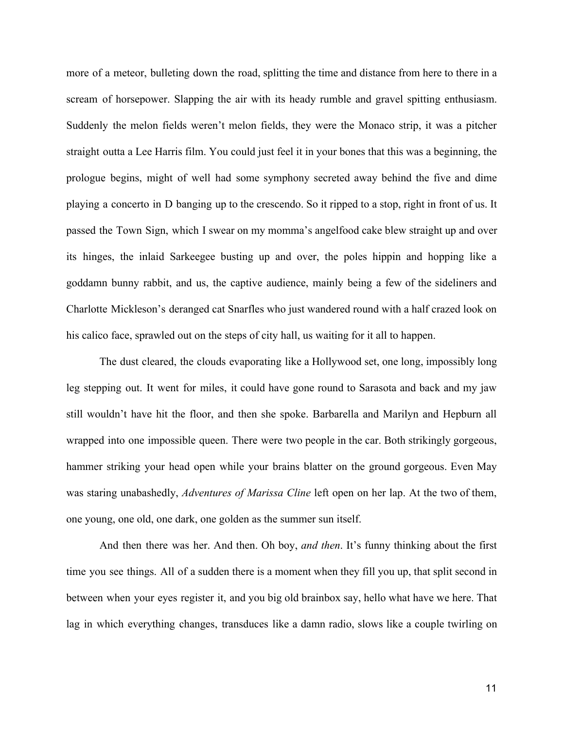more of a meteor, bulleting down the road, splitting the time and distance from here to there in a scream of horsepower. Slapping the air with its heady rumble and gravel spitting enthusiasm. Suddenly the melon fields weren't melon fields, they were the Monaco strip, it was a pitcher straight outta a Lee Harris film. You could just feel it in your bones that this was a beginning, the prologue begins, might of well had some symphony secreted away behind the five and dime playing a concerto in D banging up to the crescendo. So it ripped to a stop, right in front of us. It passed the Town Sign, which I swear on my momma's angelfood cake blew straight up and over its hinges, the inlaid Sarkeegee busting up and over, the poles hippin and hopping like a goddamn bunny rabbit, and us, the captive audience, mainly being a few of the sideliners and Charlotte Mickleson's deranged cat Snarfles who just wandered round with a half crazed look on his calico face, sprawled out on the steps of city hall, us waiting for it all to happen.

The dust cleared, the clouds evaporating like a Hollywood set, one long, impossibly long leg stepping out. It went for miles, it could have gone round to Sarasota and back and my jaw still wouldn't have hit the floor, and then she spoke. Barbarella and Marilyn and Hepburn all wrapped into one impossible queen. There were two people in the car. Both strikingly gorgeous, hammer striking your head open while your brains blatter on the ground gorgeous. Even May was staring unabashedly, *Adventures of Marissa Cline* left open on her lap. At the two of them, one young, one old, one dark, one golden as the summer sun itself.

And then there was her. And then. Oh boy, *and then*. It's funny thinking about the first time you see things. All of a sudden there is a moment when they fill you up, that split second in between when your eyes register it, and you big old brainbox say, hello what have we here. That lag in which everything changes, transduces like a damn radio, slows like a couple twirling on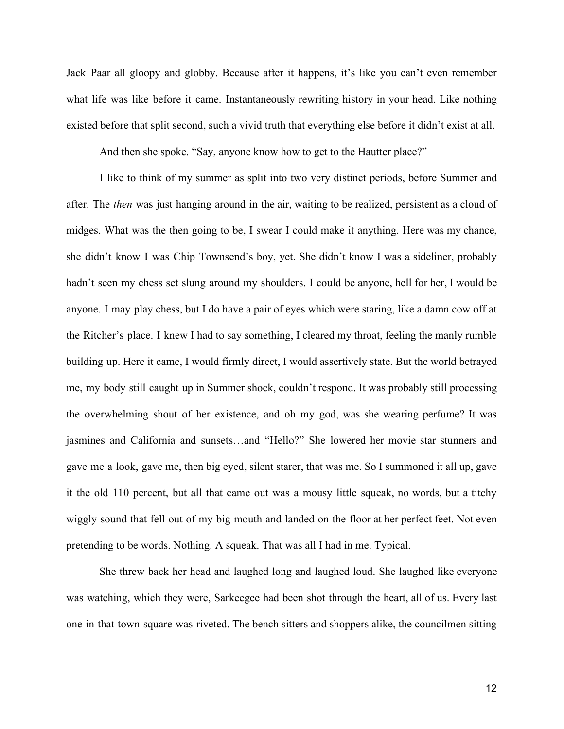Jack Paar all gloopy and globby. Because after it happens, it's like you can't even remember what life was like before it came. Instantaneously rewriting history in your head. Like nothing existed before that split second, such a vivid truth that everything else before it didn't exist at all.

And then she spoke. "Say, anyone know how to get to the Hautter place?"

I like to think of my summer as split into two very distinct periods, before Summer and after. The *then* was just hanging around in the air, waiting to be realized, persistent as a cloud of midges. What was the then going to be, I swear I could make it anything. Here was my chance, she didn't know I was Chip Townsend's boy, yet. She didn't know I was a sideliner, probably hadn't seen my chess set slung around my shoulders. I could be anyone, hell for her, I would be anyone. I may play chess, but I do have a pair of eyes which were staring, like a damn cow off at the Ritcher's place. I knew I had to say something, I cleared my throat, feeling the manly rumble building up. Here it came, I would firmly direct, I would assertively state. But the world betrayed me, my body still caught up in Summer shock, couldn't respond. It was probably still processing the overwhelming shout of her existence, and oh my god, was she wearing perfume? It was jasmines and California and sunsets…and "Hello?" She lowered her movie star stunners and gave me a look, gave me, then big eyed, silent starer, that was me. So I summoned it all up, gave it the old 110 percent, but all that came out was a mousy little squeak, no words, but a titchy wiggly sound that fell out of my big mouth and landed on the floor at her perfect feet. Not even pretending to be words. Nothing. A squeak. That was all I had in me. Typical.

She threw back her head and laughed long and laughed loud. She laughed like everyone was watching, which they were, Sarkeegee had been shot through the heart, all of us. Every last one in that town square was riveted. The bench sitters and shoppers alike, the councilmen sitting